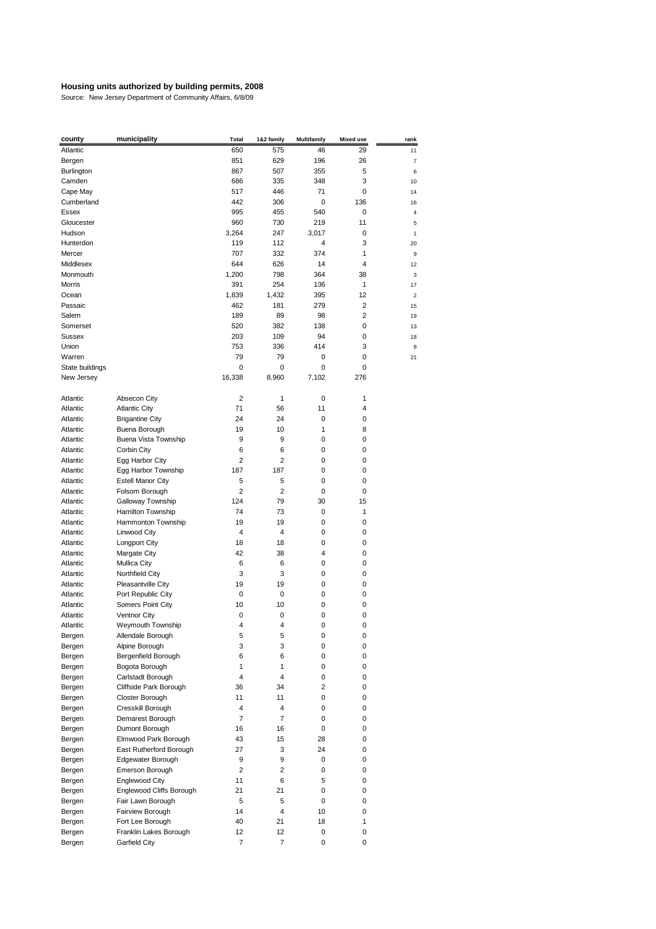| county          | municipality             | <b>Total</b>   | 1&2 family | <b>Multifamily</b> | <b>Mixed use</b> | rank           |
|-----------------|--------------------------|----------------|------------|--------------------|------------------|----------------|
| Atlantic        |                          | 650            | 575        | 46                 | 29               | 11             |
| Bergen          |                          | 851            | 629        | 196                | 26               | $\overline{7}$ |
| Burlington      |                          | 867            | 507        | 355                | 5                | 6              |
| Camden          |                          | 686            | 335        | 348                | 3                | 10             |
| Cape May        |                          | 517            | 446        | 71                 | 0                | 14             |
| Cumberland      |                          | 442            | 306        | 0                  | 136              |                |
|                 |                          |                |            |                    |                  | 16             |
| Essex           |                          | 995            | 455        | 540                | 0                | 4              |
| Gloucester      |                          | 960            | 730        | 219                | 11               | 5              |
| Hudson          |                          | 3,264          | 247        | 3,017              | 0                | 1              |
| Hunterdon       |                          | 119            | 112        | 4                  | 3                | 20             |
| Mercer          |                          | 707            | 332        | 374                | 1                | 9              |
| Middlesex       |                          | 644            | 626        | 14                 | 4                | 12             |
| Monmouth        |                          | 1,200          | 798        | 364                | 38               | 3              |
| Morris          |                          | 391            | 254        | 136                | 1                | 17             |
| Ocean           |                          | 1,839          | 1,432      | 395                | 12               | $\overline{a}$ |
| Passaic         |                          | 462            | 181        | 279                | 2                | 15             |
| Salem           |                          | 189            | 89         | 98                 | 2                | 19             |
| Somerset        |                          | 520            | 382        | 138                | 0                | 13             |
| Sussex          |                          | 203            | 109        | 94                 | 0                |                |
|                 |                          |                |            |                    |                  | 18             |
| Union           |                          | 753            | 336        | 414                | 3                | 8              |
| Warren          |                          | 79             | 79         | 0                  | 0                | 21             |
| State buildings |                          | 0              | 0          | 0                  | 0                |                |
| New Jersey      |                          | 16,338         | 8,960      | 7,102              | 276              |                |
|                 |                          |                |            |                    |                  |                |
| Atlantic        | Absecon City             | 2              | 1          | 0                  | 1                |                |
| Atlantic        | <b>Atlantic City</b>     | 71             | 56         | 11                 | 4                |                |
| Atlantic        | <b>Brigantine City</b>   | 24             | 24         | 0                  | 0                |                |
| Atlantic        | Buena Borough            | 19             | 10         | 1                  | 8                |                |
| Atlantic        | Buena Vista Township     | 9              | 9          | 0                  | 0                |                |
| Atlantic        | Corbin City              | 6              | 6          | 0                  | 0                |                |
| Atlantic        | Egg Harbor City          | 2              | 2          | 0                  | 0                |                |
| Atlantic        | Egg Harbor Township      | 187            | 187        | 0                  | 0                |                |
| Atlantic        | <b>Estell Manor City</b> | 5              | 5          | 0                  | 0                |                |
| Atlantic        | Folsom Borough           | 2              | 2          | 0                  | 0                |                |
|                 |                          | 124            | 79         | 30                 | 15               |                |
| Atlantic        | Galloway Township        |                |            |                    |                  |                |
| Atlantic        | Hamilton Township        | 74             | 73         | 0                  | 1                |                |
| Atlantic        | Hammonton Township       | 19             | 19         | 0                  | 0                |                |
| Atlantic        | Linwood City             | 4              | 4          | 0                  | 0                |                |
| Atlantic        | <b>Longport City</b>     | 18             | 18         | 0                  | 0                |                |
| Atlantic        | Margate City             | 42             | 38         | 4                  | 0                |                |
| Atlantic        | Mullica City             | 6              | 6          | 0                  | 0                |                |
| Atlantic        | Northfield City          | 3              | 3          | 0                  | 0                |                |
| Atlantic        | Pleasantville City       | 19             | 19         | 0                  | 0                |                |
| Atlantic        | Port Republic City       | 0              | 0          | 0                  | 0                |                |
| Atlantic        | Somers Point City        | 10             | 10         | 0                  | 0                |                |
| Atlantic        | Ventnor City             | 0              | 0          | 0                  | 0                |                |
| Atlantic        | Weymouth Township        | 4              | 4          | 0                  | 0                |                |
| Bergen          | Allendale Borough        | 5              | 5          | 0                  | 0                |                |
| Bergen          | Alpine Borough           | 3              | 3          | 0                  | 0                |                |
| Bergen          | Bergenfield Borough      | 6              | 6          | 0                  | 0                |                |
|                 |                          |                |            |                    |                  |                |
| Bergen          | Bogota Borough           | 1              | 1          | 0                  | 0                |                |
| Bergen          | Carlstadt Borough        | 4              | 4          | 0                  | 0                |                |
| Bergen          | Cliffside Park Borough   | 36             | 34         | $\overline{2}$     | 0                |                |
| Bergen          | Closter Borough          | 11             | 11         | 0                  | 0                |                |
| Bergen          | Cresskill Borough        | 4              | 4          | 0                  | 0                |                |
| Bergen          | Demarest Borough         | 7              | 7          | 0                  | 0                |                |
| Bergen          | Dumont Borough           | 16             | 16         | 0                  | 0                |                |
| Bergen          | Elmwood Park Borough     | 43             | 15         | 28                 | 0                |                |
| Bergen          | East Rutherford Borough  | 27             | 3          | 24                 | 0                |                |
| Bergen          | Edgewater Borough        | 9              | 9          | 0                  | 0                |                |
| Bergen          | Emerson Borough          | $\overline{2}$ | 2          | 0                  | 0                |                |
| Bergen          | Englewood City           | 11             | 6          | 5                  | 0                |                |
| Bergen          | Englewood Cliffs Borough | 21             | 21         | 0                  | 0                |                |
|                 |                          |                | 5          | 0                  | 0                |                |
| Bergen          | Fair Lawn Borough        | 5              |            |                    |                  |                |
| Bergen          | Fairview Borough         | 14             | 4          | 10                 | 0                |                |
| Bergen          | Fort Lee Borough         | 40             | 21         | 18                 | 1                |                |
| Bergen          | Franklin Lakes Borough   | 12             | 12         | 0                  | 0                |                |
| Bergen          | Garfield City            | 7              | 7          | 0                  | 0                |                |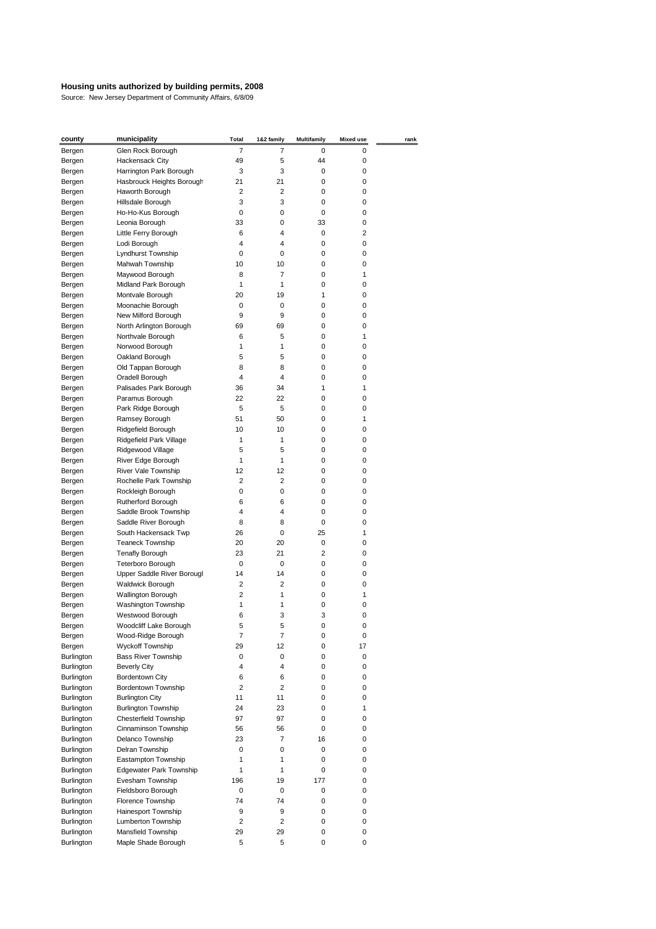| <u>county</u>     | municipality                         | <b>Total</b> | 1&2 family     | <b>Multifamily</b> | <b>Mixed use</b> | rank |
|-------------------|--------------------------------------|--------------|----------------|--------------------|------------------|------|
| Bergen            | Glen Rock Borough                    | 7            | 7              | 0                  | 0                |      |
| Bergen            | Hackensack City                      | 49           | 5              | 44                 | 0                |      |
| Bergen            | Harrington Park Borough              | 3            | 3              | 0                  | 0                |      |
| Bergen            | Hasbrouck Heights Borough            | 21           | 21             | 0                  | 0                |      |
| Bergen            | Haworth Borough                      | 2            | 2              | 0                  | 0                |      |
| Bergen            | Hillsdale Borough                    | 3            | 3              | 0                  | 0                |      |
| Bergen            | Ho-Ho-Kus Borough                    | 0            | 0              | 0                  | 0                |      |
| Bergen            | Leonia Borough                       | 33           | 0              | 33                 | 0                |      |
| Bergen            | Little Ferry Borough                 | 6            | 4              | 0                  | 2                |      |
| Bergen            | Lodi Borough                         | 4            | 4              | 0                  | 0                |      |
| Bergen            | Lyndhurst Township                   | 0            | 0              | 0                  | 0                |      |
| Bergen            | Mahwah Township                      | 10           | 10             | 0                  | 0                |      |
| Bergen            | Maywood Borough                      | 8            | 7              | 0                  | 1                |      |
| Bergen            | Midland Park Borough                 | 1            | 1              | 0                  | 0                |      |
| Bergen            | Montvale Borough                     | 20           | 19             | 1                  | 0                |      |
| Bergen            | Moonachie Borough                    | 0            | 0              | 0                  | 0                |      |
| Bergen            | New Milford Borough                  | 9            | 9              | 0                  | 0                |      |
| Bergen            | North Arlington Borough              | 69           | 69             | 0                  | 0                |      |
| Bergen            | Northvale Borough                    | 6            | 5              | 0                  | 1                |      |
| Bergen            | Norwood Borough                      | 1            | 1              | 0                  | 0                |      |
| Bergen            | Oakland Borough                      | 5            | 5              | 0                  | 0                |      |
| Bergen            | Old Tappan Borough                   | 8            | 8              | 0                  | 0                |      |
| Bergen            | Oradell Borough                      | 4            | 4              | 0                  | 0                |      |
| Bergen            | Palisades Park Borough               | 36           | 34             | 1                  | 1                |      |
| Bergen            | Paramus Borough                      | 22           | 22             | 0                  | 0                |      |
|                   | Park Ridge Borough                   | 5            | 5              | 0                  | 0                |      |
| Bergen            |                                      | 51           | 50             | 0                  | 1                |      |
| Bergen            | Ramsey Borough<br>Ridgefield Borough | 10           | 10             | 0                  | 0                |      |
| Bergen            |                                      |              |                |                    |                  |      |
| Bergen            | Ridgefield Park Village              | 1            | 1              | 0                  | 0                |      |
| Bergen            | Ridgewood Village                    | 5            | 5              | 0                  | 0                |      |
| Bergen            | River Edge Borough                   | 1            | 1              | 0                  | 0                |      |
| Bergen            | River Vale Township                  | 12           | 12             | 0                  | 0                |      |
| Bergen            | Rochelle Park Township               | 2            | 2              | 0                  | 0                |      |
| Bergen            | Rockleigh Borough                    | 0            | 0              | 0                  | 0                |      |
| Bergen            | Rutherford Borough                   | 6            | 6              | 0                  | 0                |      |
| Bergen            | Saddle Brook Township                | 4            | 4              | 0                  | 0                |      |
| Bergen            | Saddle River Borough                 | 8            | 8              | 0                  | 0                |      |
| Bergen            | South Hackensack Twp                 | 26           | 0              | 25                 | 1                |      |
| Bergen            | <b>Teaneck Township</b>              | 20           | 20             | 0                  | 0                |      |
| Bergen            | <b>Tenafly Borough</b>               | 23           | 21             | $\overline{2}$     | 0                |      |
| Bergen            | Teterboro Borough                    | 0            | 0              | 0                  | 0                |      |
| Bergen            | Upper Saddle River Borougl           | 14           | 14             | 0                  | 0                |      |
| Bergen            | <b>Waldwick Borough</b>              | 2            | 2              | 0                  | 0                |      |
| Bergen            | Wallington Borough                   | 2            | 1              | 0                  | 1                |      |
| Bergen            | Washington Township                  | 1            | 1              | 0                  | 0                |      |
| Bergen            | Westwood Borough                     | 6            | 3              | 3                  | 0                |      |
| Bergen            | Woodcliff Lake Borough               | 5            | 5              | 0                  | 0                |      |
| Bergen            | Wood-Ridge Borough                   | 7            | 7              | 0                  | 0                |      |
| Bergen            | Wyckoff Township                     | 29           | 12             | 0                  | 17               |      |
| Burlington        | <b>Bass River Township</b>           | 0            | 0              | 0                  | 0                |      |
| <b>Burlington</b> | <b>Beverly City</b>                  | 4            | $\overline{4}$ | 0                  | 0                |      |
| Burlington        | <b>Bordentown City</b>               | 6            | 6              | 0                  | 0                |      |
| <b>Burlington</b> | Bordentown Township                  | 2            | $\overline{2}$ | 0                  | 0                |      |
| <b>Burlington</b> | <b>Burlington City</b>               | 11           | 11             | 0                  | 0                |      |
| <b>Burlington</b> | <b>Burlington Township</b>           | 24           | 23             | 0                  | 1                |      |
| <b>Burlington</b> | Chesterfield Township                | 97           | 97             | 0                  | 0                |      |
| <b>Burlington</b> | Cinnaminson Township                 | 56           | 56             | 0                  | 0                |      |
| Burlington        | Delanco Township                     | 23           | 7              | 16                 | 0                |      |
| <b>Burlington</b> | Delran Township                      | 0            | 0              | 0                  | 0                |      |
| <b>Burlington</b> | Eastampton Township                  | 1            | 1              | 0                  | 0                |      |
| <b>Burlington</b> | <b>Edgewater Park Township</b>       | $\mathbf{1}$ | 1              | 0                  | 0                |      |
| <b>Burlington</b> | Evesham Township                     | 196          | 19             | 177                | 0                |      |
| <b>Burlington</b> | Fieldsboro Borough                   | 0            | 0              | 0                  | 0                |      |
| <b>Burlington</b> | Florence Township                    | 74           | 74             | 0                  | 0                |      |
| <b>Burlington</b> | Hainesport Township                  | 9            | 9              | 0                  | 0                |      |
| <b>Burlington</b> | Lumberton Township                   | 2            | $\overline{2}$ | 0                  | 0                |      |
| <b>Burlington</b> | Mansfield Township                   | 29           | 29             | 0                  | 0                |      |
| <b>Burlington</b> | Maple Shade Borough                  | 5            | 5              | 0                  | 0                |      |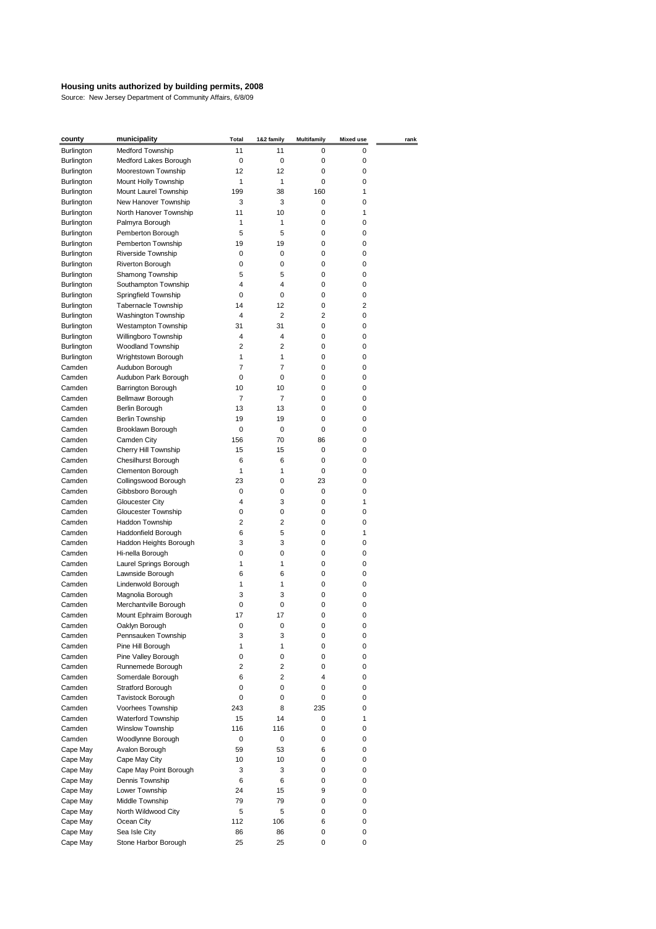| county            | municipality             | <b>Total</b>   | 1&2 family     | <b>Multifamily</b> | <b>Mixed use</b> | rank |
|-------------------|--------------------------|----------------|----------------|--------------------|------------------|------|
| <b>Burlington</b> | Medford Township         | 11             | 11             | 0                  | 0                |      |
| Burlington        | Medford Lakes Borough    | 0              | 0              | 0                  | 0                |      |
| <b>Burlington</b> | Moorestown Township      | 12             | 12             | 0                  | 0                |      |
| <b>Burlington</b> | Mount Holly Township     | 1              | 1              | 0                  | 0                |      |
| <b>Burlington</b> | Mount Laurel Township    | 199            | 38             | 160                | 1                |      |
| <b>Burlington</b> | New Hanover Township     | 3              | 3              | 0                  | 0                |      |
| <b>Burlington</b> | North Hanover Township   | 11             | 10             | 0                  | 1                |      |
| <b>Burlington</b> | Palmyra Borough          | 1              | 1              | 0                  | 0                |      |
| Burlington        | Pemberton Borough        | 5              | 5              | 0                  | 0                |      |
| Burlington        | Pemberton Township       | 19             | 19             | 0                  | 0                |      |
| Burlington        | Riverside Township       | 0              | 0              | 0                  | 0                |      |
| Burlington        | Riverton Borough         | 0              | 0              | 0                  | 0                |      |
| Burlington        | Shamong Township         | 5              | 5              | 0                  | 0                |      |
| Burlington        | Southampton Township     | 4              | 4              | 0                  | 0                |      |
| Burlington        | Springfield Township     | 0              | 0              | 0                  | 0                |      |
| Burlington        | Tabernacle Township      | 14             | 12             | 0                  | 2                |      |
| Burlington        | Washington Township      | 4              | 2              | 2                  | 0                |      |
| Burlington        | Westampton Township      | 31             | 31             | 0                  | 0                |      |
| Burlington        | Willingboro Township     | 4              | 4              | 0                  | 0                |      |
| Burlington        | Woodland Township        | $\overline{2}$ | 2              | 0                  | 0                |      |
| Burlington        | Wrightstown Borough      | 1              | 1              | 0                  | 0                |      |
| Camden            | Audubon Borough          | $\overline{7}$ | $\overline{7}$ | 0                  | 0                |      |
| Camden            | Audubon Park Borough     | 0              | 0              | 0                  | 0                |      |
| Camden            | Barrington Borough       | 10             | 10             | 0                  | 0                |      |
| Camden            | Bellmawr Borough         | 7              | 7              | 0                  | 0                |      |
| Camden            | Berlin Borough           | 13             | 13             | 0                  | 0                |      |
| Camden            | Berlin Township          | 19             | 19             | 0                  | 0                |      |
| Camden            | Brooklawn Borough        | 0              | 0              | 0                  | 0                |      |
| Camden            | Camden City              | 156            | 70             | 86                 | 0                |      |
| Camden            | Cherry Hill Township     | 15             | 15             | 0                  | 0                |      |
| Camden            | Chesilhurst Borough      | 6              | 6              | 0                  | 0                |      |
| Camden            | Clementon Borough        | 1              | 1              | 0                  | 0                |      |
| Camden            | Collingswood Borough     | 23             | 0              | 23                 | 0                |      |
| Camden            | Gibbsboro Borough        | 0              | 0              | 0                  | 0                |      |
| Camden            | <b>Gloucester City</b>   | 4              | 3              | 0                  | 1                |      |
| Camden            | Gloucester Township      | 0              | 0              | 0                  | 0                |      |
| Camden            | Haddon Township          | 2              | 2              | 0                  | 0                |      |
| Camden            | Haddonfield Borough      | 6              | 5              | 0                  | 1                |      |
| Camden            | Haddon Heights Borough   | 3              | 3              | 0                  | 0                |      |
| Camden            | Hi-nella Borough         | 0              | 0              | 0                  | 0                |      |
| Camden            | Laurel Springs Borough   | 1              | 1              | 0                  | 0                |      |
| Camden            | Lawnside Borough         | 6              | 6              | 0                  | 0                |      |
| Camden            | Lindenwold Borough       | 1              | 1              | 0                  | 0                |      |
| Camden            | Magnolia Borough         | 3              | 3              | 0                  | 0                |      |
| Camden            | Merchantville Borough    | 0              | 0              | 0                  | 0                |      |
| Camden            | Mount Ephraim Borough    | 17             | 17             | 0                  | 0                |      |
| Camden            | Oaklyn Borough           | 0              | 0              | 0                  | 0                |      |
| Camden            | Pennsauken Township      | 3              | 3              | 0                  | 0                |      |
| Camden            | Pine Hill Borough        | $\mathbf{1}$   | 1              | 0                  | 0                |      |
| Camden            | Pine Valley Borough      | 0              | 0              | 0                  | 0                |      |
| Camden            | Runnemede Borough        | 2              | 2              | 0                  | 0                |      |
| Camden            | Somerdale Borough        | 6              | 2              | 4                  | 0                |      |
| Camden            | Stratford Borough        | 0              | 0              | 0                  | 0                |      |
| Camden            | <b>Tavistock Borough</b> | 0              | 0              | 0                  | 0                |      |
| Camden            | Voorhees Township        | 243            | 8              | 235                | 0                |      |
| Camden            | Waterford Township       | 15             | 14             | 0                  | 1                |      |
| Camden            | Winslow Township         | 116            | 116            | 0                  | 0                |      |
| Camden            | Woodlynne Borough        | 0              | 0              | 0                  | 0                |      |
| Cape May          | Avalon Borough           | 59             | 53             | 6                  | 0                |      |
| Cape May          | Cape May City            | 10             | 10             | 0                  | 0                |      |
| Cape May          | Cape May Point Borough   | 3              | 3              | 0                  | 0                |      |
| Cape May          | Dennis Township          | 6              | 6              | 0                  | 0                |      |
| Cape May          | Lower Township           | 24             | 15             | 9                  | 0                |      |
| Cape May          | Middle Township          | 79             | 79             | 0                  | 0                |      |
| Cape May          | North Wildwood City      | 5              | 5              | 0                  | 0                |      |
| Cape May          | Ocean City               | 112            | 106            | 6                  | 0                |      |
| Cape May          | Sea Isle City            | 86             | 86             | 0                  | 0                |      |
| Cape May          | Stone Harbor Borough     | 25             | 25             | 0                  | 0                |      |
|                   |                          |                |                |                    |                  |      |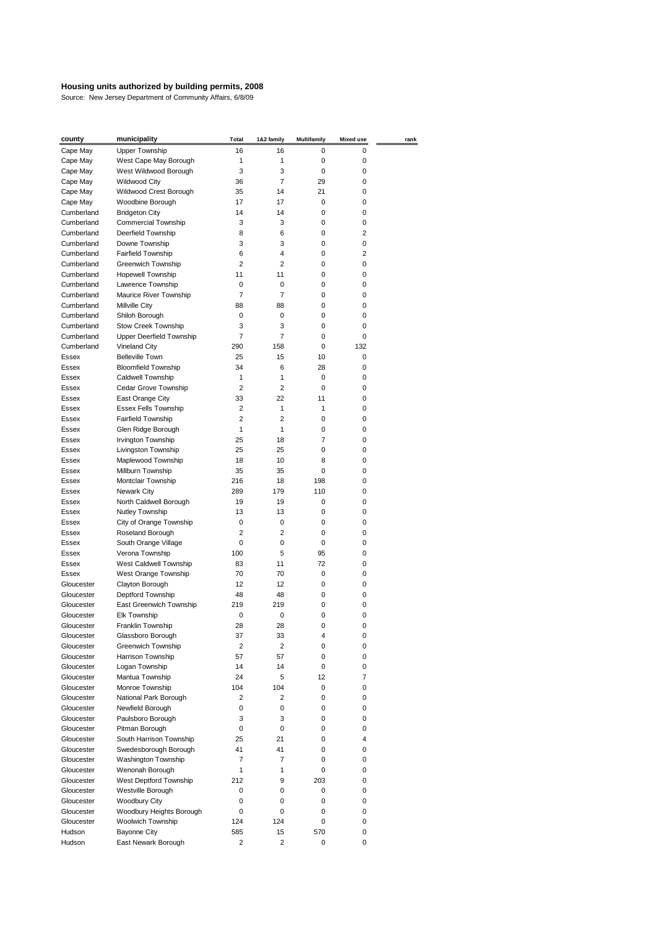| county                   | municipality                                 | <b>Total</b>   | 1&2 family     | <b>Multifamily</b> | <b>Mixed use</b> | rank |
|--------------------------|----------------------------------------------|----------------|----------------|--------------------|------------------|------|
| Cape May                 | <b>Upper Township</b>                        | 16             | 16             | 0                  | 0                |      |
| Cape May                 | West Cape May Borough                        | 1              | 1              | 0                  | 0                |      |
| Cape May                 | West Wildwood Borough                        | 3              | 3              | 0                  | 0                |      |
| Cape May                 | <b>Wildwood City</b>                         | 36             | 7              | 29                 | 0                |      |
| Cape May                 | Wildwood Crest Borough                       | 35             | 14             | 21                 | 0                |      |
| Cape May                 | Woodbine Borough                             | 17             | 17             | 0                  | 0                |      |
| Cumberland               | <b>Bridgeton City</b>                        | 14             | 14             | 0                  | 0                |      |
| Cumberland               | <b>Commercial Township</b>                   | 3              | 3              | 0                  | 0                |      |
| Cumberland               | Deerfield Township                           | 8              | 6              | 0                  | 2                |      |
| Cumberland               | Downe Township                               | 3              | 3              | 0                  | 0                |      |
| Cumberland               | Fairfield Township                           | 6              | 4              | 0                  | 2                |      |
| Cumberland               | Greenwich Township                           | $\overline{2}$ | 2              | 0                  | 0                |      |
| Cumberland               | <b>Hopewell Township</b>                     | 11             | 11             | 0                  | 0                |      |
| Cumberland               | Lawrence Township                            | 0              | 0              | 0                  | 0                |      |
| Cumberland               | Maurice River Township                       | $\overline{7}$ | $\overline{7}$ | 0                  | 0                |      |
| Cumberland               | Millville City                               | 88             | 88             | 0                  | 0                |      |
| Cumberland               | Shiloh Borough                               | 0              | 0              | 0                  | 0                |      |
| Cumberland               | Stow Creek Township                          | 3              | 3              | 0                  | 0                |      |
| Cumberland               | Upper Deerfield Township                     | $\overline{7}$ | 7              | 0                  | 0                |      |
| Cumberland               | Vineland City                                | 290            | 158            | 0                  | 132              |      |
| Essex                    | <b>Belleville Town</b>                       | 25             | 15             | 10                 | 0                |      |
| Essex                    | <b>Bloomfield Township</b>                   | 34             | 6              | 28                 | 0                |      |
| Essex                    | Caldwell Township                            | 1              | 1              | 0                  | 0                |      |
| Essex                    | Cedar Grove Township                         | $\overline{2}$ | $\overline{2}$ | 0                  | 0                |      |
| Essex                    | East Orange City                             | 33             | 22             | 11                 | 0                |      |
| Essex                    | Essex Fells Township                         | 2              | 1              | $\mathbf{1}$       | 0                |      |
| <b>Essex</b>             | <b>Fairfield Township</b>                    | $\overline{2}$ | $\overline{2}$ | 0                  | 0                |      |
| Essex                    | Glen Ridge Borough                           | 1              | 1              | 0                  | 0                |      |
| Essex                    | <b>Irvington Township</b>                    | 25             | 18             | $\overline{7}$     | 0                |      |
| Essex                    | Livingston Township                          | 25             | 25             | 0                  | 0                |      |
| Essex                    | Maplewood Township                           | 18             | 10             | 8                  | 0                |      |
| Essex                    | Millburn Township                            | 35             | 35             | 0                  | 0                |      |
| Essex                    | Montclair Township                           | 216            | 18             | 198                | 0                |      |
| Essex                    | Newark City                                  | 289            | 179            | 110                | 0                |      |
| Essex                    | North Caldwell Borough                       | 19             | 19             | 0                  | 0                |      |
| Essex                    | Nutley Township                              | 13             | 13             | 0                  | 0                |      |
| Essex                    | City of Orange Township                      | 0              | 0              | 0                  | 0                |      |
| Essex                    | Roseland Borough                             | 2              | 2              | 0                  | 0                |      |
| Essex                    | South Orange Village                         | 0              | 0<br>5         | 0                  | 0                |      |
| Essex                    | Verona Township                              | 100            |                | 95<br>72           | 0                |      |
| Essex                    | West Caldwell Township                       | 83<br>70       | 11<br>70       | 0                  | 0<br>0           |      |
| Essex                    | West Orange Township                         | 12             | 12             | 0                  | 0                |      |
| Gloucester<br>Gloucester | Clayton Borough                              | 48             |                | 0                  | 0                |      |
| Gloucester               | Deptford Township<br>East Greenwich Township | 219            | 48<br>219      | 0                  | 0                |      |
| Gloucester               | <b>Elk Township</b>                          | 0              | 0              | 0                  | 0                |      |
| Gloucester               | Franklin Township                            | 28             | 28             | 0                  | 0                |      |
| Gloucester               | Glassboro Borough                            | 37             | 33             | 4                  | 0                |      |
| Gloucester               | Greenwich Township                           | 2              | 2              | 0                  | 0                |      |
| Gloucester               | Harrison Township                            | 57             | 57             | 0                  | 0                |      |
| Gloucester               | Logan Township                               | 14             | 14             | 0                  | 0                |      |
| Gloucester               | Mantua Township                              | 24             | 5              | 12                 | 7                |      |
| Gloucester               | Monroe Township                              | 104            | 104            | 0                  | 0                |      |
| Gloucester               | National Park Borough                        | $\overline{2}$ | 2              | 0                  | 0                |      |
| Gloucester               | Newfield Borough                             | 0              | 0              | 0                  | 0                |      |
| Gloucester               | Paulsboro Borough                            | 3              | 3              | 0                  | 0                |      |
| Gloucester               | Pitman Borough                               | 0              | 0              | 0                  | 0                |      |
| Gloucester               | South Harrison Township                      | 25             | 21             | 0                  | 4                |      |
| Gloucester               | Swedesborough Borough                        | 41             | 41             | 0                  | 0                |      |
| Gloucester               | Washington Township                          | $\overline{7}$ | 7              | 0                  | 0                |      |
| Gloucester               | Wenonah Borough                              | $\mathbf{1}$   | 1              | 0                  | 0                |      |
| Gloucester               | West Deptford Township                       | 212            | 9              | 203                | 0                |      |
| Gloucester               | Westville Borough                            | 0              | 0              | 0                  | 0                |      |
| Gloucester               | <b>Woodbury City</b>                         | 0              | 0              | 0                  | 0                |      |
| Gloucester               | Woodbury Heights Borough                     | 0              | 0              | 0                  | 0                |      |
| Gloucester               | Woolwich Township                            | 124            | 124            | 0                  | 0                |      |
| Hudson                   | <b>Bayonne City</b>                          | 585            | 15             | 570                | 0                |      |
| Hudson                   | East Newark Borough                          | $\overline{2}$ | $\overline{2}$ | 0                  | 0                |      |
|                          |                                              |                |                |                    |                  |      |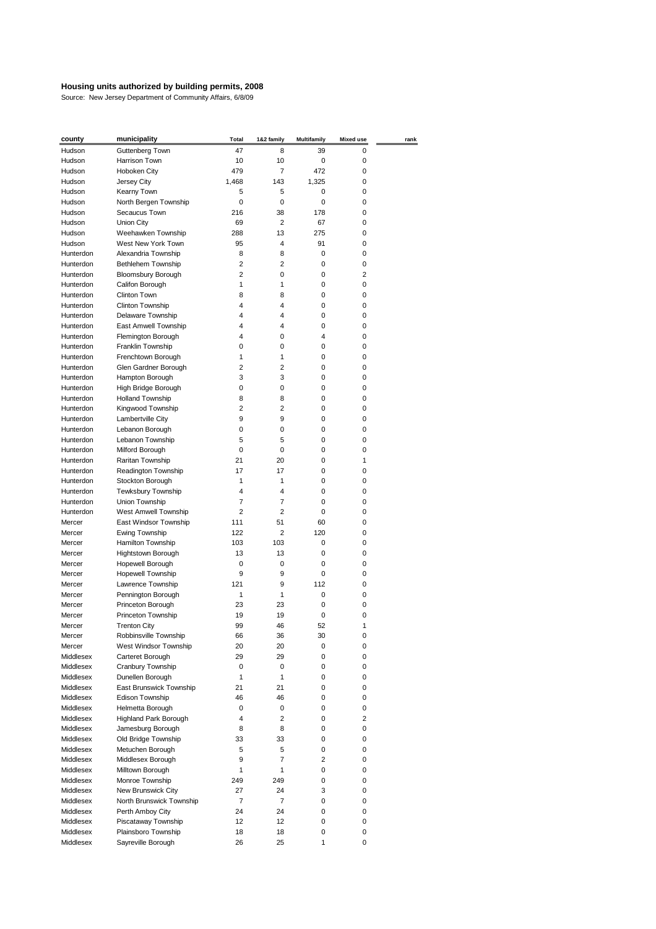| county                 | municipality                            | <b>Total</b>   | 1&2 family     | <b>Multifamily</b> | <b>Mixed use</b> | rank |
|------------------------|-----------------------------------------|----------------|----------------|--------------------|------------------|------|
| Hudson                 | Guttenberg Town                         | 47             | 8              | 39                 | 0                |      |
| Hudson                 | Harrison Town                           | 10             | 10             | 0                  | 0                |      |
| Hudson                 | Hoboken City                            | 479            | $\overline{7}$ | 472                | 0                |      |
| Hudson                 | Jersey City                             | 1,468          | 143            | 1,325              | 0                |      |
| Hudson                 | Kearny Town                             | 5              | 5              | 0                  | 0                |      |
| Hudson                 | North Bergen Township                   | 0              | 0              | 0                  | 0                |      |
| Hudson                 | Secaucus Town                           | 216            | 38             | 178                | 0                |      |
| Hudson                 | Union City                              | 69             | 2              | 67                 | 0                |      |
| Hudson                 | Weehawken Township                      | 288            | 13             | 275                | 0                |      |
| Hudson                 | West New York Town                      | 95             | 4              | 91                 | 0                |      |
| Hunterdon              | Alexandria Township                     | 8              | 8              | 0                  | 0                |      |
| Hunterdon              | Bethlehem Township                      | $\overline{2}$ | $\overline{2}$ | 0                  | 0                |      |
| Hunterdon              | <b>Bloomsbury Borough</b>               | 2              | 0              | 0                  | 2                |      |
| Hunterdon              | Califon Borough                         | 1              | 1              | 0                  | 0                |      |
| Hunterdon              | Clinton Town                            | 8              | 8              | 0                  | 0                |      |
| Hunterdon              | Clinton Township                        | 4              | 4              | 0                  | 0                |      |
| Hunterdon              | Delaware Township                       | 4              | 4              | 0                  | 0                |      |
| Hunterdon              | East Amwell Township                    | 4              | 4              | 0                  | 0                |      |
| Hunterdon              | Flemington Borough                      | 4              | 0              | 4                  | 0                |      |
| Hunterdon              | Franklin Township                       | 0              | 0              | 0                  | 0                |      |
| Hunterdon              | Frenchtown Borough                      | 1              | 1              | 0                  | 0                |      |
| Hunterdon              | Glen Gardner Borough                    | 2              | 2              | 0                  | 0                |      |
| Hunterdon              | Hampton Borough                         | 3              | 3              | 0                  | 0                |      |
| Hunterdon              | High Bridge Borough                     | 0              | 0              | 0                  | 0                |      |
| Hunterdon              | <b>Holland Township</b>                 | 8              | 8              | 0                  | 0                |      |
| Hunterdon              | Kingwood Township                       | 2              | 2              | 0                  | 0                |      |
| Hunterdon              | Lambertville City                       | 9              | 9              | 0                  | 0                |      |
| Hunterdon              | Lebanon Borough                         | 0              | 0              | 0                  | 0                |      |
| Hunterdon              | Lebanon Township                        | 5              | 5              | 0                  | 0                |      |
| Hunterdon              | Milford Borough                         | 0              | 0              | 0<br>0             | 0                |      |
| Hunterdon              | Raritan Township                        | 21<br>17       | 20<br>17       | 0                  | 1                |      |
| Hunterdon<br>Hunterdon | Readington Township<br>Stockton Borough | 1              | 1              | 0                  | 0<br>0           |      |
| Hunterdon              | Tewksbury Township                      | $\overline{4}$ | 4              | 0                  | 0                |      |
|                        |                                         | $\overline{7}$ | 7              | 0                  | 0                |      |
| Hunterdon<br>Hunterdon | Union Township<br>West Amwell Township  | $\overline{2}$ | $\overline{2}$ | 0                  | 0                |      |
| Mercer                 | East Windsor Township                   | 111            | 51             | 60                 | 0                |      |
| Mercer                 | Ewing Township                          | 122            | 2              | 120                | 0                |      |
| Mercer                 | Hamilton Township                       | 103            | 103            | 0                  | 0                |      |
| Mercer                 | Hightstown Borough                      | 13             | 13             | 0                  | 0                |      |
| Mercer                 | Hopewell Borough                        | 0              | 0              | 0                  | 0                |      |
| Mercer                 | <b>Hopewell Township</b>                | 9              | 9              | 0                  | 0                |      |
| Mercer                 | Lawrence Township                       | 121            | 9              | 112                | 0                |      |
| Mercer                 | Pennington Borough                      | 1              | 1              | 0                  | 0                |      |
| Mercer                 | Princeton Borough                       | 23             | 23             | 0                  | 0                |      |
| Mercer                 | Princeton Township                      | 19             | 19             | 0                  | 0                |      |
| Mercer                 | <b>Trenton City</b>                     | 99             | 46             | 52                 | 1                |      |
| Mercer                 | Robbinsville Township                   | 66             | 36             | 30                 | 0                |      |
| Mercer                 | West Windsor Township                   | 20             | 20             | 0                  | 0                |      |
| Middlesex              | Carteret Borough                        | 29             | 29             | 0                  | 0                |      |
| Middlesex              | Cranbury Township                       | 0              | 0              | 0                  | 0                |      |
| Middlesex              | Dunellen Borough                        | $\mathbf{1}$   | 1              | 0                  | 0                |      |
| Middlesex              | East Brunswick Township                 | 21             | 21             | 0                  | 0                |      |
| Middlesex              | Edison Township                         | 46             | 46             | 0                  | 0                |      |
| Middlesex              | Helmetta Borough                        | 0              | 0              | 0                  | 0                |      |
| Middlesex              | Highland Park Borough                   | 4              | $\overline{2}$ | 0                  | 2                |      |
| Middlesex              | Jamesburg Borough                       | 8              | 8              | 0                  | 0                |      |
| Middlesex              | Old Bridge Township                     | 33             | 33             | 0                  | 0                |      |
| Middlesex              | Metuchen Borough                        | 5              | 5              | 0                  | 0                |      |
| Middlesex              | Middlesex Borough                       | 9              | 7              | 2                  | 0                |      |
| Middlesex              | Milltown Borough                        | $\mathbf{1}$   | $\mathbf{1}$   | 0                  | 0                |      |
| Middlesex              | Monroe Township                         | 249            | 249            | 0                  | 0                |      |
| Middlesex              | New Brunswick City                      | 27             | 24             | 3                  | 0                |      |
| Middlesex              | North Brunswick Township                | $\overline{7}$ | $\overline{7}$ | 0                  | 0                |      |
| Middlesex              | Perth Amboy City                        | 24             | 24             | 0                  | 0                |      |
| Middlesex              | Piscataway Township                     | 12             | 12             | 0                  | 0                |      |
| Middlesex              | Plainsboro Township                     | 18             | 18             | 0                  | 0                |      |
| Middlesex              | Sayreville Borough                      | 26             | 25             | 1                  | 0                |      |
|                        |                                         |                |                |                    |                  |      |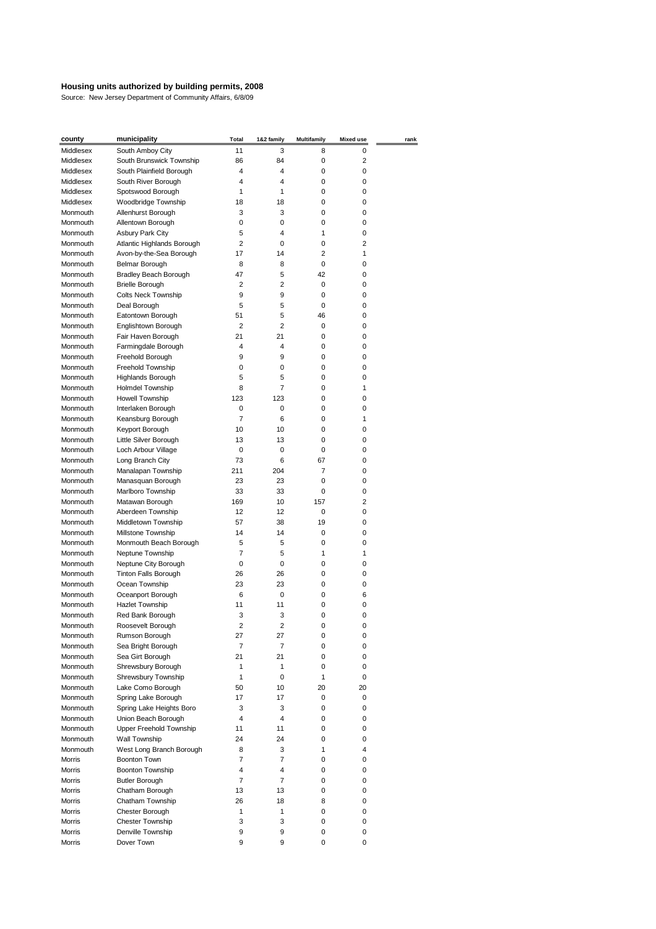| county               | municipality                                 | <b>Total</b>   | 1&2 family          | <b>Multifamily</b> | <b>Mixed use</b> | rank |
|----------------------|----------------------------------------------|----------------|---------------------|--------------------|------------------|------|
| Middlesex            | South Amboy City                             | 11             | 3                   | 8                  | 0                |      |
| Middlesex            | South Brunswick Township                     | 86             | 84                  | 0                  | 2                |      |
| Middlesex            | South Plainfield Borough                     | 4              | 4                   | 0                  | 0                |      |
| Middlesex            | South River Borough                          | 4              | 4                   | 0                  | 0                |      |
| Middlesex            | Spotswood Borough                            | 1              | 1                   | 0                  | 0                |      |
| Middlesex            | Woodbridge Township                          | 18             | 18                  | 0                  | 0                |      |
| Monmouth             | Allenhurst Borough                           | 3              | 3                   | 0                  | 0                |      |
| Monmouth             | Allentown Borough                            | 0              | 0                   | 0                  | 0                |      |
| Monmouth             | <b>Asbury Park City</b>                      | 5              | 4                   | 1                  | 0                |      |
| Monmouth             | Atlantic Highlands Borough                   | $\overline{2}$ | 0                   | 0                  | 2                |      |
| Monmouth             | Avon-by-the-Sea Borough                      | 17             | 14                  | $\overline{2}$     | 1                |      |
| Monmouth             | Belmar Borough                               | 8              | 8                   | 0                  | 0                |      |
| Monmouth             | <b>Bradley Beach Borough</b>                 | 47             | 5                   | 42                 | 0                |      |
| Monmouth             | <b>Brielle Borough</b>                       | 2              | 2                   | 0                  | 0                |      |
| Monmouth             | <b>Colts Neck Township</b>                   | 9              | 9                   | 0                  | 0                |      |
| Monmouth             | Deal Borough                                 | 5              | 5                   | 0                  | 0                |      |
| Monmouth             | Eatontown Borough                            | 51             | 5                   | 46                 | 0                |      |
| Monmouth             | Englishtown Borough                          | 2              | 2                   | 0                  | 0                |      |
| Monmouth             | Fair Haven Borough                           | 21             | 21                  | 0                  | 0                |      |
| Monmouth             | Farmingdale Borough                          | 4              | 4                   | 0                  | 0                |      |
| Monmouth             | Freehold Borough                             | 9              | 9                   | 0                  | 0                |      |
| Monmouth             | Freehold Township                            | 0              | 0                   | 0                  | 0                |      |
| Monmouth             | <b>Highlands Borough</b>                     | 5              | 5<br>$\overline{7}$ | 0<br>0             | 0                |      |
| Monmouth             | Holmdel Township                             | 8<br>123       | 123                 | 0                  | 1                |      |
| Monmouth             | Howell Township                              | 0              | 0                   | 0                  | 0<br>0           |      |
| Monmouth<br>Monmouth | Interlaken Borough                           | $\overline{7}$ | 6                   | 0                  | 1                |      |
| Monmouth             | Keansburg Borough<br>Keyport Borough         | 10             | 10                  | 0                  | 0                |      |
| Monmouth             |                                              | 13             | 13                  | 0                  | 0                |      |
| Monmouth             | Little Silver Borough<br>Loch Arbour Village | 0              | 0                   | 0                  | 0                |      |
| Monmouth             | Long Branch City                             | 73             | 6                   | 67                 | 0                |      |
| Monmouth             | Manalapan Township                           | 211            | 204                 | $\overline{7}$     | 0                |      |
| Monmouth             | Manasquan Borough                            | 23             | 23                  | 0                  | 0                |      |
| Monmouth             | Marlboro Township                            | 33             | 33                  | 0                  | 0                |      |
| Monmouth             | Matawan Borough                              | 169            | 10                  | 157                | 2                |      |
| Monmouth             | Aberdeen Township                            | 12             | 12                  | 0                  | 0                |      |
| Monmouth             | Middletown Township                          | 57             | 38                  | 19                 | 0                |      |
| Monmouth             | Millstone Township                           | 14             | 14                  | 0                  | 0                |      |
| Monmouth             | Monmouth Beach Borough                       | 5              | 5                   | 0                  | 0                |      |
| Monmouth             | Neptune Township                             | $\overline{7}$ | 5                   | 1                  | 1                |      |
| Monmouth             | Neptune City Borough                         | 0              | 0                   | 0                  | 0                |      |
| Monmouth             | <b>Tinton Falls Borough</b>                  | 26             | 26                  | 0                  | 0                |      |
| Monmouth             | Ocean Township                               | 23             | 23                  | 0                  | 0                |      |
| Monmouth             | Oceanport Borough                            | 6              | 0                   | 0                  | 6                |      |
| Monmouth             | Hazlet Township                              | 11             | 11                  | 0                  | 0                |      |
| Monmouth             | Red Bank Borough                             | 3              | 3                   | 0                  | 0                |      |
| Monmouth             | Roosevelt Borough                            | $\overline{2}$ | $\overline{2}$      | 0                  | 0                |      |
| Monmouth             | Rumson Borough                               | 27             | 27                  | 0                  | 0                |      |
| Monmouth             | Sea Bright Borough                           | 7              | 7                   | 0                  | 0                |      |
| Monmouth             | Sea Girt Borough                             | 21             | 21                  | 0                  | 0                |      |
| Monmouth             | Shrewsbury Borough                           | 1              | 1                   | 0                  | 0                |      |
| Monmouth             | Shrewsbury Township                          | $\mathbf{1}$   | 0                   | 1                  | 0                |      |
| Monmouth             | Lake Como Borough                            | 50             | 10                  | 20                 | 20               |      |
| Monmouth             | Spring Lake Borough                          | 17             | 17                  | 0                  | 0                |      |
| Monmouth             | Spring Lake Heights Boro                     | 3              | 3                   | 0                  | 0                |      |
| Monmouth             | Union Beach Borough                          | 4              | 4                   | 0                  | 0                |      |
| Monmouth             | Upper Freehold Township                      | 11             | 11                  | 0                  | 0                |      |
| Monmouth             | Wall Township                                | 24             | 24                  | 0                  | 0                |      |
| Monmouth             | West Long Branch Borough                     | 8              | 3                   | 1                  | 4                |      |
| Morris               | <b>Boonton Town</b>                          | $\overline{7}$ | 7                   | 0                  | 0                |      |
| Morris               | Boonton Township                             | 4              | 4                   | 0                  | 0                |      |
| Morris               | <b>Butler Borough</b>                        | 7              | $\overline{7}$      | 0                  | 0                |      |
| Morris               | Chatham Borough                              | 13             | 13                  | 0                  | 0                |      |
| Morris               | Chatham Township                             | 26             | 18                  | 8                  | 0                |      |
| Morris               | Chester Borough                              | $\mathbf{1}$   | 1                   | 0                  | 0                |      |
| Morris               | Chester Township                             | 3              | 3                   | 0                  | 0                |      |
| Morris               | Denville Township                            | 9              | 9                   | 0                  | 0                |      |
| Morris               | Dover Town                                   | 9              | 9                   | 0                  | 0                |      |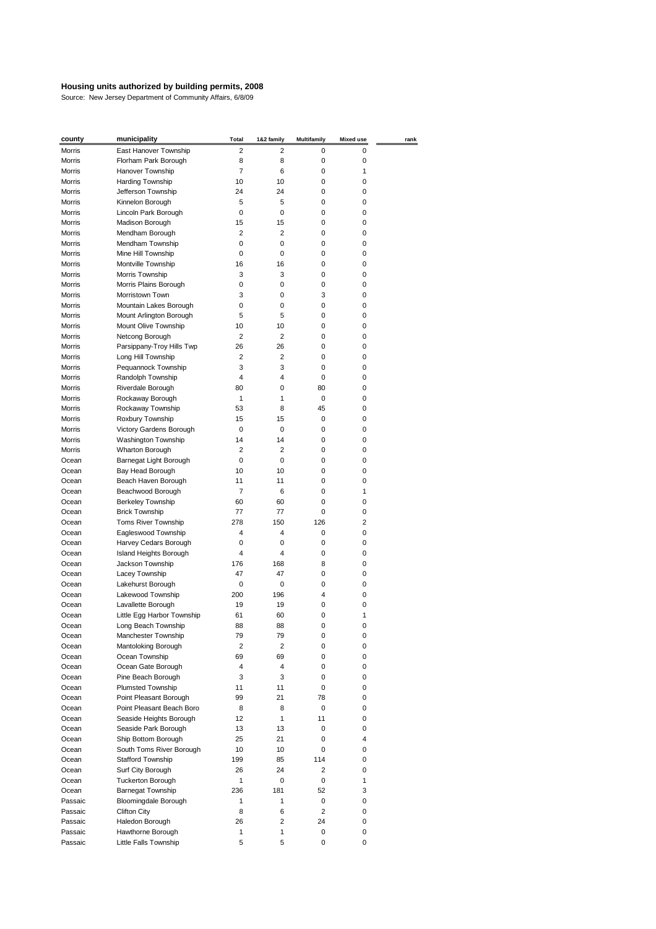| county        | municipality               | <b>Total</b>   | 1&2 family | <b>Multifamily</b> | <b>Mixed use</b> | rank |
|---------------|----------------------------|----------------|------------|--------------------|------------------|------|
| Morris        | East Hanover Township      | 2              | 2          | 0                  | 0                |      |
| Morris        | Florham Park Borough       | 8              | 8          | 0                  | 0                |      |
| Morris        | Hanover Township           | $\overline{7}$ | 6          | 0                  | 1                |      |
| Morris        | Harding Township           | 10             | 10         | 0                  | 0                |      |
| Morris        | Jefferson Township         | 24             | 24         | 0                  | 0                |      |
| <b>Morris</b> | Kinnelon Borough           | 5              | 5          | 0                  | 0                |      |
| Morris        | Lincoln Park Borough       | 0              | 0          | 0                  | 0                |      |
| Morris        | Madison Borough            | 15             | 15         | 0                  | 0                |      |
| Morris        | Mendham Borough            | 2              | 2          | 0                  | 0                |      |
| Morris        | Mendham Township           | 0              | 0          | 0                  | 0                |      |
| Morris        | Mine Hill Township         | 0              | 0          | 0                  | 0                |      |
| Morris        | Montville Township         | 16             | 16         | 0                  | 0                |      |
| Morris        | Morris Township            | 3              | 3          | 0                  | 0                |      |
| Morris        | Morris Plains Borough      | 0              | 0          | 0                  | 0                |      |
| Morris        | Morristown Town            | 3              | 0          | 3                  | 0                |      |
| Morris        | Mountain Lakes Borough     | 0              | 0          | 0                  | 0                |      |
| Morris        | Mount Arlington Borough    | 5              | 5          | 0                  | 0                |      |
| Morris        | Mount Olive Township       | 10             | 10         | 0                  | 0                |      |
| Morris        | Netcong Borough            | $\overline{2}$ | 2          | 0                  | 0                |      |
| Morris        | Parsippany-Troy Hills Twp  | 26             | 26         | 0                  | 0                |      |
| Morris        | Long Hill Township         | 2              | 2          | 0                  | 0                |      |
| Morris        | Pequannock Township        | 3              | 3          | 0                  | 0                |      |
| Morris        | Randolph Township          | 4              | 4          | 0                  | 0                |      |
| Morris        | Riverdale Borough          | 80             | 0          | 80                 | 0                |      |
| Morris        | Rockaway Borough           | 1              | 1          | 0                  | 0                |      |
| Morris        | Rockaway Township          | 53             | 8          | 45                 | 0                |      |
| Morris        | Roxbury Township           | 15             | 15         | 0                  | 0                |      |
| Morris        | Victory Gardens Borough    | 0              | 0          | 0                  | 0                |      |
| Morris        | Washington Township        | 14             | 14         | 0                  | 0                |      |
| <b>Morris</b> | Wharton Borough            | 2              | 2          | 0                  | 0                |      |
| Ocean         | Barnegat Light Borough     | 0              | 0          | 0                  | 0                |      |
| Ocean         | Bay Head Borough           | 10             | 10         | 0                  | 0                |      |
| Ocean         | Beach Haven Borough        | 11             | 11         | 0                  | 0                |      |
| Ocean         | Beachwood Borough          | $\overline{7}$ | 6          | 0                  | 1                |      |
| Ocean         | <b>Berkeley Township</b>   | 60             | 60         | 0                  | 0                |      |
| Ocean         | <b>Brick Township</b>      | 77             | 77         | 0                  | 0                |      |
| Ocean         | Toms River Township        | 278            | 150        | 126                | 2                |      |
| Ocean         | Eagleswood Township        | 4              | 4          | 0                  | 0                |      |
| Ocean         | Harvey Cedars Borough      | 0              | 0          | 0                  | 0                |      |
| Ocean         | Island Heights Borough     | 4              | 4          | 0                  | 0                |      |
| Ocean         | Jackson Township           | 176            | 168        | 8                  | 0                |      |
| Ocean         | Lacey Township             | 47             | 47         | 0                  | 0                |      |
| Ocean         | Lakehurst Borough          | 0              | 0          | 0                  | 0                |      |
| Ocean         | Lakewood Township          | 200            | 196        | 4                  | 0                |      |
| Ocean         | Lavallette Borough         | 19             | 19         | 0                  | 0                |      |
| Ocean         | Little Egg Harbor Township | 61             | 60         | 0                  | 1                |      |
| Ocean         | Long Beach Township        | 88             | 88         | 0                  | 0                |      |
| Ocean         | Manchester Township        | 79             | 79         | 0                  | 0                |      |
| Ocean         | Mantoloking Borough        | 2              | 2          | 0                  | 0                |      |
| Ocean         | Ocean Township             | 69             | 69         | 0                  | 0                |      |
| Ocean         | Ocean Gate Borough         | 4              | 4          | 0                  | 0                |      |
| Ocean         | Pine Beach Borough         | 3              | 3          | 0                  | 0                |      |
| Ocean         | <b>Plumsted Township</b>   | 11             | 11         | 0                  | 0                |      |
| Ocean         | Point Pleasant Borough     | 99             | 21         | 78                 | 0                |      |
| Ocean         | Point Pleasant Beach Boro  | 8              | 8          | 0                  | 0                |      |
| Ocean         | Seaside Heights Borough    | 12             | 1          | 11                 | 0                |      |
| Ocean         | Seaside Park Borough       | 13             | 13         | 0                  | 0                |      |
| Ocean         | Ship Bottom Borough        | 25             | 21         | 0                  | 4                |      |
| Ocean         | South Toms River Borough   | 10             | 10         | $\mathbf 0$        | 0                |      |
| Ocean         | <b>Stafford Township</b>   | 199            | 85         | 114                | 0                |      |
| Ocean         | Surf City Borough          | 26             | 24         | $\overline{2}$     | 0                |      |
| Ocean         | <b>Tuckerton Borough</b>   | 1              | 0          | 0                  | 1                |      |
| Ocean         | <b>Barnegat Township</b>   | 236            | 181        | 52                 | 3                |      |
| Passaic       | Bloomingdale Borough       | 1              | 1          | 0                  | 0                |      |
| Passaic       | <b>Clifton City</b>        | 8              | 6          | $\overline{2}$     | 0                |      |
| Passaic       | Haledon Borough            | 26             | 2          | 24                 | 0                |      |
| Passaic       | Hawthorne Borough          | 1              | 1          | 0                  | 0                |      |
| Passaic       | Little Falls Township      | 5              | 5          | 0                  | 0                |      |
|               |                            |                |            |                    |                  |      |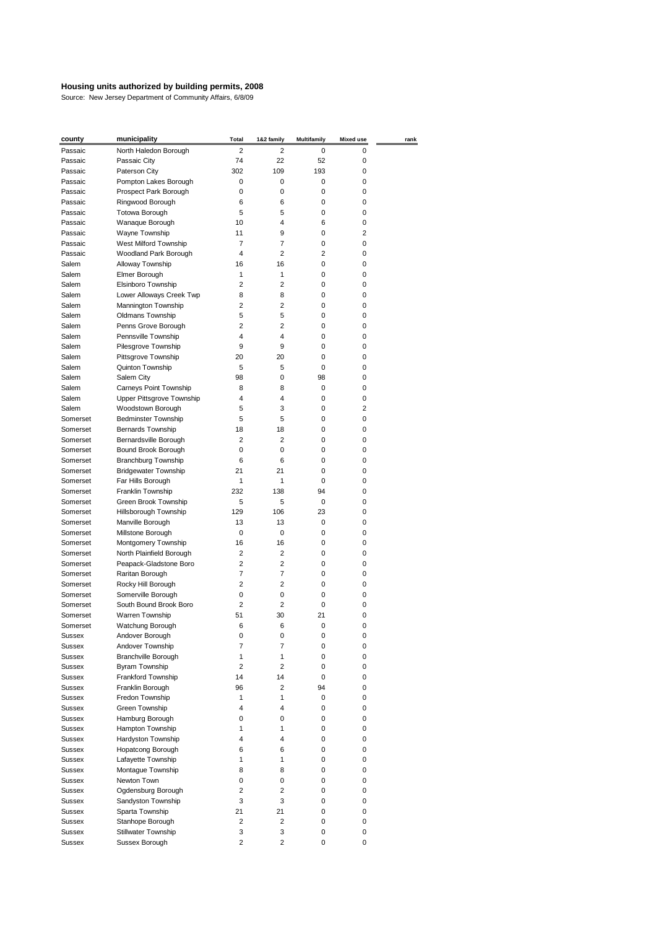| county   | municipality                            | <b>Total</b>   | 1&2 family              | <b>Multifamily</b> | <b>Mixed use</b> | rank |
|----------|-----------------------------------------|----------------|-------------------------|--------------------|------------------|------|
| Passaic  | North Haledon Borough                   | 2              | 2                       | 0                  | 0                |      |
| Passaic  | Passaic City                            | 74             | 22                      | 52                 | 0                |      |
| Passaic  | Paterson City                           | 302            | 109                     | 193                | 0                |      |
| Passaic  | Pompton Lakes Borough                   | 0              | 0                       | 0                  | 0                |      |
| Passaic  | Prospect Park Borough                   | 0              | 0                       | 0                  | 0                |      |
| Passaic  | Ringwood Borough                        | 6              | 6                       | 0                  | 0                |      |
| Passaic  | <b>Totowa Borough</b>                   | 5              | 5                       | 0                  | 0                |      |
| Passaic  | Wanaque Borough                         | 10             | 4                       | 6                  | 0                |      |
| Passaic  | Wayne Township                          | 11             | 9                       | 0                  | 2                |      |
| Passaic  | West Milford Township                   | $\overline{7}$ | $\overline{7}$          | 0                  | 0                |      |
| Passaic  | Woodland Park Borough                   | 4              | $\overline{2}$          | $\overline{2}$     | 0                |      |
| Salem    | Alloway Township                        | 16             | 16                      | 0                  | 0                |      |
| Salem    | Elmer Borough                           | 1              | 1                       | 0                  | 0                |      |
| Salem    | Elsinboro Township                      | $\overline{2}$ | $\overline{2}$          | 0                  | 0                |      |
| Salem    | Lower Alloways Creek Twp                | 8              | 8                       | 0                  | 0                |      |
| Salem    | Mannington Township                     | 2              | 2                       | 0                  | 0                |      |
| Salem    | <b>Oldmans Township</b>                 | 5              | 5                       | 0                  | 0                |      |
| Salem    | Penns Grove Borough                     | 2              | $\overline{2}$          | 0                  | 0                |      |
| Salem    | Pennsville Township                     | 4              | 4                       | 0                  | 0                |      |
| Salem    | Pilesgrove Township                     | 9              | 9                       | 0                  | 0                |      |
| Salem    | Pittsgrove Township                     | 20             | 20                      | 0                  | 0                |      |
| Salem    | Quinton Township                        | 5              | 5                       | 0                  | 0                |      |
| Salem    | Salem City                              | 98             | 0                       | 98                 | 0                |      |
| Salem    | Carneys Point Township                  | 8              | 8                       | 0                  | 0                |      |
| Salem    | Upper Pittsgrove Township               | 4              | 4                       | 0                  | 0                |      |
| Salem    | Woodstown Borough                       | 5              | 3                       | 0                  | 2                |      |
| Somerset | <b>Bedminster Township</b>              | 5              | 5                       | 0                  | 0                |      |
| Somerset | <b>Bernards Township</b>                | 18             | 18                      | 0                  | 0                |      |
| Somerset | Bernardsville Borough                   | 2              | 2                       | 0                  | 0                |      |
| Somerset | Bound Brook Borough                     | 0              | 0                       | 0                  | 0                |      |
| Somerset | <b>Branchburg Township</b>              | 6              | 6                       | 0                  | 0                |      |
| Somerset | <b>Bridgewater Township</b>             | 21             | 21                      | 0                  | 0                |      |
| Somerset | Far Hills Borough                       | $\mathbf{1}$   | 1                       | 0                  | 0                |      |
| Somerset | Franklin Township                       | 232            | 138                     | 94                 | 0                |      |
| Somerset | Green Brook Township                    | 5              | 5                       | 0                  | 0                |      |
| Somerset | Hillsborough Township                   | 129            | 106                     | 23                 | 0                |      |
| Somerset | Manville Borough                        | 13             | 13                      | 0                  | 0                |      |
| Somerset | Millstone Borough                       | 0              | 0                       | 0                  | 0                |      |
| Somerset | Montgomery Township                     | 16             | 16                      | 0                  | 0                |      |
| Somerset | North Plainfield Borough                | 2              | 2                       | 0                  | 0                |      |
| Somerset | Peapack-Gladstone Boro                  | 2              | 2                       | 0                  | 0                |      |
| Somerset | Raritan Borough                         | 7              | 7                       | 0                  | 0                |      |
| Somerset | Rocky Hill Borough                      | $\overline{2}$ | $\overline{2}$          | 0                  | 0                |      |
| Somerset | Somerville Borough                      | 0              | 0                       | 0                  | 0                |      |
| Somerset | South Bound Brook Boro                  | 2              | 2                       | 0                  | 0                |      |
| Somerset | Warren Township                         | 51             | 30                      | 21                 | 0                |      |
| Somerset | Watchung Borough                        | 6              | 6                       | 0                  | 0                |      |
| Sussex   | Andover Borough                         | 0              | 0                       | 0                  | 0                |      |
| Sussex   | Andover Township                        | 7              | $\overline{7}$          | 0                  | 0                |      |
| Sussex   | Branchville Borough                     | $\mathbf{1}$   | 1                       | 0                  | 0                |      |
| Sussex   | Byram Township                          | 2              | 2                       | 0                  | 0                |      |
| Sussex   | Frankford Township                      | 14             | 14                      | 0                  | 0                |      |
| Sussex   | Franklin Borough                        | 96             | 2                       | 94                 | 0                |      |
| Sussex   | Fredon Township                         | $\mathbf{1}$   | 1                       | 0                  | 0                |      |
| Sussex   | Green Township                          | 4              | $\overline{4}$          | 0                  | 0                |      |
| Sussex   | Hamburg Borough                         | 0              | 0                       | 0                  | 0                |      |
| Sussex   | Hampton Township                        | $\mathbf{1}$   | 1                       | 0                  | 0                |      |
| Sussex   | Hardyston Township                      | 4              | 4                       | 0                  | 0                |      |
| Sussex   | Hopatcong Borough                       | 6              | 6                       | 0                  | 0                |      |
|          |                                         | $\mathbf{1}$   | 1                       | 0                  |                  |      |
| Sussex   | Lafayette Township<br>Montague Township |                | 8                       | 0                  | 0                |      |
| Sussex   |                                         | 8              |                         |                    | 0                |      |
| Sussex   | Newton Town                             | 0              | 0                       | 0                  | 0                |      |
| Sussex   | Ogdensburg Borough                      | 2              | $\overline{2}$          | 0                  | 0                |      |
| Sussex   | Sandyston Township                      | 3              | 3                       | 0                  | 0                |      |
| Sussex   | Sparta Township                         | 21             | 21                      | 0                  | 0                |      |
| Sussex   | Stanhope Borough                        | 2              | $\overline{\mathbf{c}}$ | 0                  | 0                |      |
| Sussex   | Stillwater Township                     | 3              | 3                       | 0                  | 0                |      |
| Sussex   | Sussex Borough                          | 2              | $\overline{2}$          | 0                  | 0                |      |